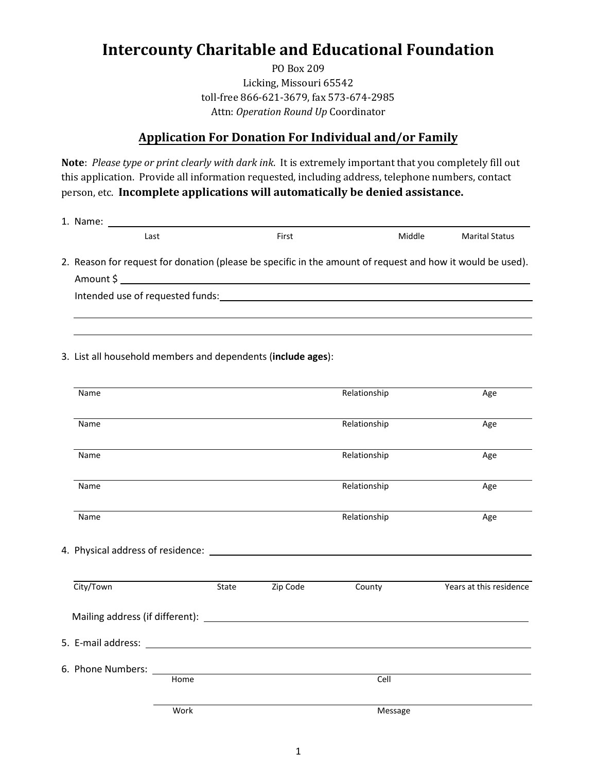# **Intercounty Charitable and Educational Foundation**

PO Box 209 Licking, Missouri 65542 toll-free 866-621-3679, fax 573-674-2985 Attn: *Operation Round Up* Coordinator

## **Application For Donation For Individual and/or Family**

**Note**: *Please type or print clearly with dark ink*. It is extremely important that you completely fill out this application. Provide all information requested, including address, telephone numbers, contact person, etc. **Incomplete applications will automatically be denied assistance.**

1. Name: .

| Last                                                                                                       | First | Middle | <b>Marital Status</b> |
|------------------------------------------------------------------------------------------------------------|-------|--------|-----------------------|
| 2. Reason for request for donation (please be specific in the amount of request and how it would be used). |       |        |                       |
| Amount S                                                                                                   |       |        |                       |

 . .

| Intended use of requested funds: |
|----------------------------------|
|----------------------------------|

3. List all household members and dependents (**include ages**):

| Name      |      |                | Relationship | Age                     |
|-----------|------|----------------|--------------|-------------------------|
| Name      |      |                | Relationship | Age                     |
|           |      |                |              |                         |
| Name      |      |                | Relationship | Age                     |
| Name      |      |                | Relationship | Age                     |
| Name      |      |                | Relationship | Age                     |
|           |      |                |              |                         |
| City/Town |      | State Zip Code | County       | Years at this residence |
|           |      |                |              |                         |
|           |      |                |              |                         |
|           | Home |                | Cell         |                         |
|           |      |                |              |                         |
|           | Work |                | Message      |                         |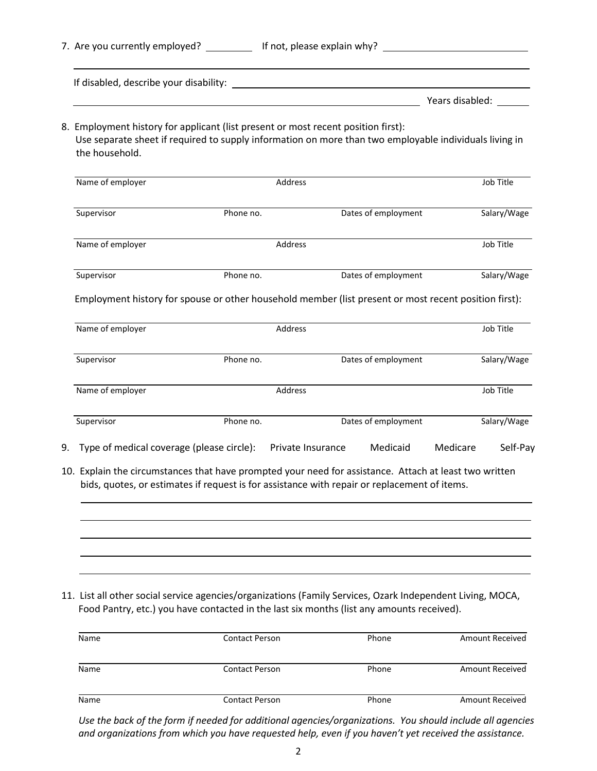|    | 7. Are you currently employed? If not, please explain why?                                                                                                                                                                     |           |         |                                                           |                 |             |
|----|--------------------------------------------------------------------------------------------------------------------------------------------------------------------------------------------------------------------------------|-----------|---------|-----------------------------------------------------------|-----------------|-------------|
|    | If disabled, describe your disability: National Communication of the control of the control of the control of the control of the control of the control of the control of the control of the control of the control of the con |           |         |                                                           |                 |             |
|    |                                                                                                                                                                                                                                |           |         | <u> 1989 - Johann Barnett, fransk politiker (d. 1989)</u> | Years disabled: |             |
|    | 8. Employment history for applicant (list present or most recent position first):<br>Use separate sheet if required to supply information on more than two employable individuals living in<br>the household.                  |           |         |                                                           |                 |             |
|    | Name of employer                                                                                                                                                                                                               |           | Address |                                                           |                 | Job Title   |
|    | Supervisor                                                                                                                                                                                                                     | Phone no. |         | Dates of employment                                       |                 | Salary/Wage |
|    | Name of employer                                                                                                                                                                                                               |           | Address |                                                           |                 | Job Title   |
|    | Supervisor                                                                                                                                                                                                                     | Phone no. |         | Dates of employment                                       |                 | Salary/Wage |
|    | Employment history for spouse or other household member (list present or most recent position first):                                                                                                                          |           |         |                                                           |                 |             |
|    | Name of employer                                                                                                                                                                                                               |           | Address |                                                           |                 | Job Title   |
|    | Supervisor                                                                                                                                                                                                                     | Phone no. |         | Dates of employment                                       |                 | Salary/Wage |
|    | Name of employer                                                                                                                                                                                                               |           | Address |                                                           |                 | Job Title   |
|    | Supervisor                                                                                                                                                                                                                     | Phone no. |         | Dates of employment                                       |                 | Salary/Wage |
| 9. | Type of medical coverage (please circle): Private Insurance                                                                                                                                                                    |           |         | Medicaid                                                  | Medicare        | Self-Pay    |
|    | 10. Explain the circumstances that have prompted your need for assistance. Attach at least two written<br>bids, quotes, or estimates if request is for assistance with repair or replacement of items.                         |           |         |                                                           |                 |             |
|    |                                                                                                                                                                                                                                |           |         |                                                           |                 |             |
|    | 11. List all other social service agencies/organizations (Family Services, Ozark Independent Living, MOCA,<br>Food Pantry, etc.) you have contacted in the last six months (list any amounts received).                        |           |         |                                                           |                 |             |

| Name | <b>Contact Person</b> | Phone | <b>Amount Received</b> |
|------|-----------------------|-------|------------------------|
| Name | <b>Contact Person</b> | Phone | <b>Amount Received</b> |
| Name | Contact Person        | Phone | Amount Received        |

 *Use the back of the form if needed for additional agencies/organizations. You should include all agencies and organizations from which you have requested help, even if you haven't yet received the assistance.*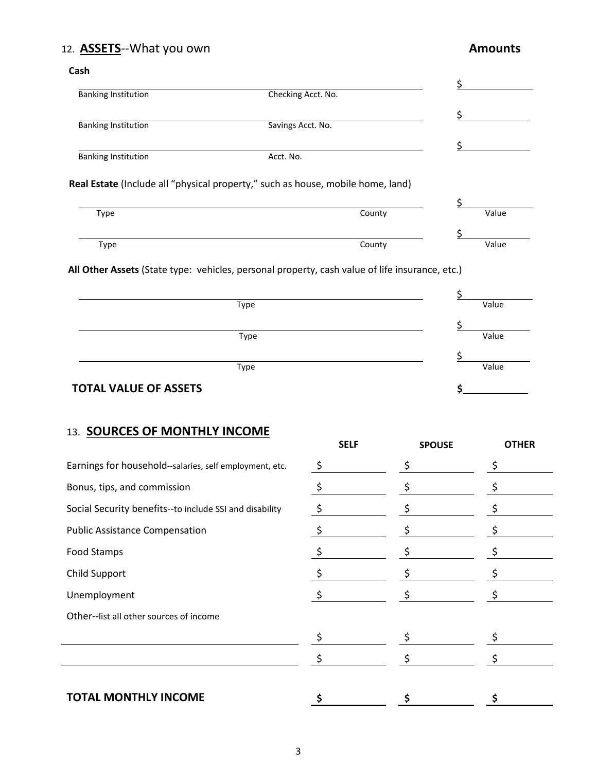## 12. **ASSETS**--What you own **Amounts**

### **Cash**

| <b>Banking Institution</b> | Checking Acct. No. |  |
|----------------------------|--------------------|--|
|                            |                    |  |
| <b>Banking Institution</b> | Savings Acct. No.  |  |
|                            |                    |  |
| <b>Banking Institution</b> | Acct. No.          |  |
|                            |                    |  |

## **Real Estate** (Include all "physical property," such as house, mobile home, land)

| Type | County | Value |
|------|--------|-------|
|      |        |       |
| Type | County | Value |

 **All Other Assets** (State type: vehicles, personal property, cash value of life insurance, etc.)

| Type                         | Value |
|------------------------------|-------|
|                              |       |
| Type                         | Value |
|                              |       |
| Type                         | Value |
| <b>TOTAL VALUE OF ASSETS</b> |       |

## 13. **SOURCES OF MONTHLY INCOME**

|                                                         | <b>SELF</b>   | <b>SPOUSE</b> | <b>OTHER</b> |
|---------------------------------------------------------|---------------|---------------|--------------|
| Earnings for household--salaries, self employment, etc. | $\frac{5}{2}$ | \$            |              |
| Bonus, tips, and commission                             | $\zeta$       | \$            | \$           |
| Social Security benefits--to include SSI and disability | $\frac{5}{2}$ |               | \$           |
| <b>Public Assistance Compensation</b>                   | \$            |               |              |
| Food Stamps                                             |               |               |              |
| Child Support                                           |               |               |              |
| Unemployment                                            |               |               |              |
| Other--list all other sources of income                 |               |               |              |
|                                                         |               |               |              |
|                                                         |               |               |              |
|                                                         |               |               |              |
| <b>TOTAL MONTHLY INCOME</b>                             |               | S             |              |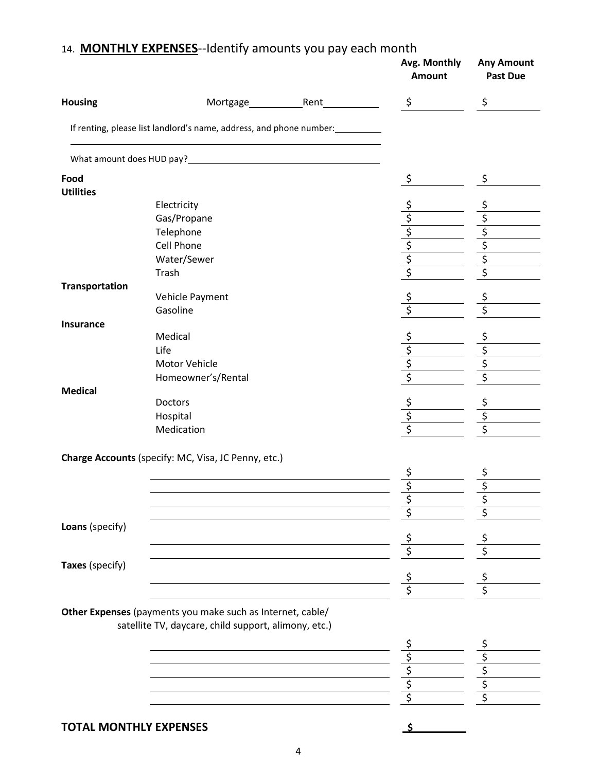|                       | 14. MONTHLY EXPENSES--Identify amounts you pay each month                                                          | Avg. Monthly<br><b>Amount</b> | <b>Any Amount</b><br><b>Past Due</b> |
|-----------------------|--------------------------------------------------------------------------------------------------------------------|-------------------------------|--------------------------------------|
| <b>Housing</b>        | Rent <sub>1</sub><br>Mortgage ___________                                                                          | \$                            | \$                                   |
|                       | If renting, please list landlord's name, address, and phone number:                                                |                               |                                      |
|                       | What amount does HUD pay?                                                                                          |                               |                                      |
| Food                  |                                                                                                                    | \$                            | \$                                   |
| <b>Utilities</b>      |                                                                                                                    |                               |                                      |
|                       | Electricity                                                                                                        | \$                            | \$                                   |
|                       | Gas/Propane                                                                                                        |                               |                                      |
|                       | Telephone                                                                                                          |                               | $\frac{1}{2}$                        |
|                       | <b>Cell Phone</b>                                                                                                  |                               |                                      |
|                       | Water/Sewer                                                                                                        |                               | $rac{5}{5}$                          |
|                       | Trash                                                                                                              | $\frac{1}{2}$                 | \$                                   |
| <b>Transportation</b> |                                                                                                                    |                               |                                      |
|                       | Vehicle Payment                                                                                                    |                               |                                      |
|                       | Gasoline                                                                                                           | $rac{5}{5}$                   | $rac{5}{5}$                          |
| Insurance             |                                                                                                                    |                               |                                      |
|                       | Medical                                                                                                            | $\zeta$                       |                                      |
|                       | Life                                                                                                               |                               | $\overline{\xi}$                     |
|                       | Motor Vehicle                                                                                                      | $\frac{1}{2}$                 | \$                                   |
|                       | Homeowner's/Rental                                                                                                 | \$                            | \$                                   |
| <b>Medical</b>        |                                                                                                                    |                               |                                      |
|                       | Doctors                                                                                                            |                               |                                      |
|                       | Hospital                                                                                                           | $\frac{5}{5}$                 | $rac{5}{5}$                          |
|                       | Medication                                                                                                         |                               | \$                                   |
|                       | Charge Accounts (specify: MC, Visa, JC Penny, etc.)                                                                |                               |                                      |
|                       |                                                                                                                    | \$                            | \$                                   |
|                       |                                                                                                                    |                               |                                      |
|                       |                                                                                                                    |                               |                                      |
|                       |                                                                                                                    |                               |                                      |
| Loans (specify)       |                                                                                                                    |                               |                                      |
|                       |                                                                                                                    | \$                            | \$                                   |
|                       |                                                                                                                    | \$                            |                                      |
| Taxes (specify)       |                                                                                                                    |                               |                                      |
|                       |                                                                                                                    |                               |                                      |
|                       |                                                                                                                    | Ś                             |                                      |
|                       |                                                                                                                    |                               |                                      |
|                       | Other Expenses (payments you make such as Internet, cable/<br>satellite TV, daycare, child support, alimony, etc.) |                               |                                      |
|                       |                                                                                                                    |                               |                                      |
|                       |                                                                                                                    | \$                            |                                      |
|                       |                                                                                                                    | \$                            | \$                                   |
|                       |                                                                                                                    | \$                            | \$                                   |
|                       |                                                                                                                    |                               |                                      |
|                       |                                                                                                                    |                               |                                      |
|                       | <b>TOTAL MONTHLY EXPENSES</b>                                                                                      |                               |                                      |
|                       |                                                                                                                    |                               |                                      |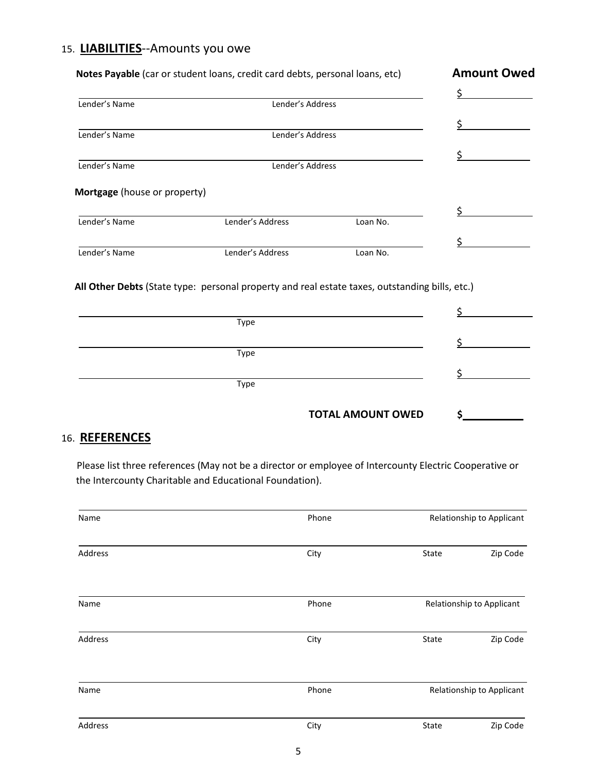## 15. **LIABILITIES**--Amounts you owe

|                              | Notes Payable (car or student loans, credit card debts, personal loans, etc)                   |          | <b>Amount Owed</b> |
|------------------------------|------------------------------------------------------------------------------------------------|----------|--------------------|
|                              |                                                                                                |          | \$                 |
| Lender's Name                | Lender's Address                                                                               |          |                    |
|                              |                                                                                                |          |                    |
| Lender's Name                | Lender's Address                                                                               |          |                    |
|                              |                                                                                                |          |                    |
| Lender's Name                | Lender's Address                                                                               |          |                    |
| Mortgage (house or property) |                                                                                                |          |                    |
|                              |                                                                                                |          |                    |
| Lender's Name                | Lender's Address                                                                               | Loan No. |                    |
|                              |                                                                                                |          |                    |
| Lender's Name                | Lender's Address                                                                               | Loan No. |                    |
|                              | All Other Debts (State type: personal property and real estate taxes, outstanding bills, etc.) |          |                    |
|                              | Type                                                                                           |          |                    |
|                              | Type                                                                                           |          |                    |
|                              |                                                                                                |          |                    |
|                              |                                                                                                |          |                    |
|                              | Type                                                                                           |          |                    |

## 16. **REFERENCES**

 Please list three references (May not be a director or employee of Intercounty Electric Cooperative or the Intercounty Charitable and Educational Foundation).

| Name    | Phone |       | Relationship to Applicant |
|---------|-------|-------|---------------------------|
| Address | City  | State | Zip Code                  |
| Name    | Phone |       | Relationship to Applicant |
| Address | City  | State | Zip Code                  |
| Name    | Phone |       | Relationship to Applicant |
| Address | City  | State | Zip Code                  |